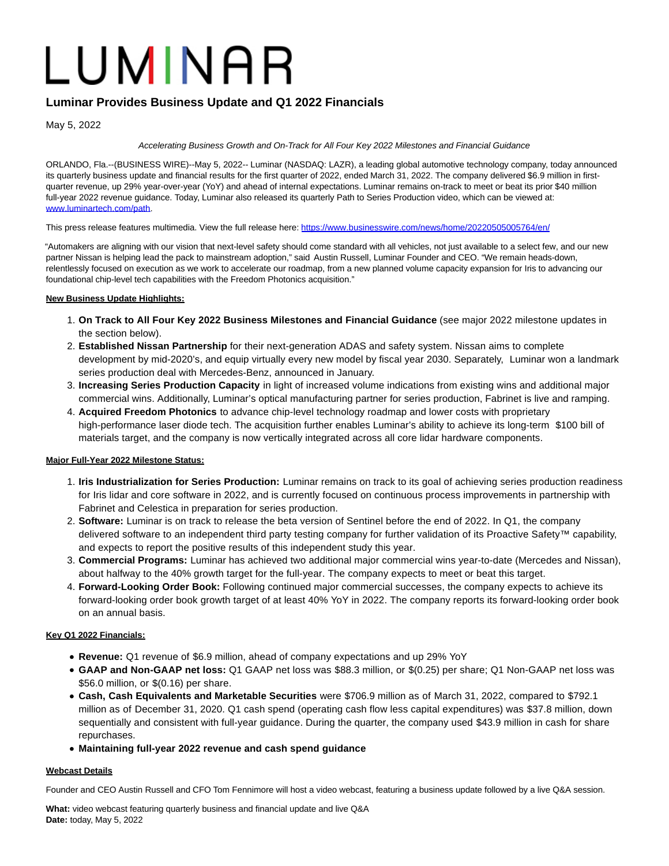# LUMINAR

# **Luminar Provides Business Update and Q1 2022 Financials**

May 5, 2022

# Accelerating Business Growth and On-Track for All Four Key 2022 Milestones and Financial Guidance

ORLANDO, Fla.--(BUSINESS WIRE)--May 5, 2022-- Luminar (NASDAQ: LAZR), a leading global automotive technology company, today announced its quarterly business update and financial results for the first quarter of 2022, ended March 31, 2022. The company delivered \$6.9 million in firstquarter revenue, up 29% year-over-year (YoY) and ahead of internal expectations. Luminar remains on-track to meet or beat its prior \$40 million full-year 2022 revenue guidance. Today, Luminar also released its quarterly Path to Series Production video, which can be viewed at: [www.luminartech.com/path.](https://cts.businesswire.com/ct/CT?id=smartlink&url=http%3A%2F%2Fwww.luminartech.com%2Fpath&esheet=52709566&newsitemid=20220505005764&lan=en-US&anchor=www.luminartech.com%2Fpath&index=1&md5=1c9ef6df262de0343aab6ab1caec58cf)

This press release features multimedia. View the full release here:<https://www.businesswire.com/news/home/20220505005764/en/>

"Automakers are aligning with our vision that next-level safety should come standard with all vehicles, not just available to a select few, and our new partner Nissan is helping lead the pack to mainstream adoption," said Austin Russell, Luminar Founder and CEO. "We remain heads-down, relentlessly focused on execution as we work to accelerate our roadmap, from a new planned volume capacity expansion for Iris to advancing our foundational chip-level tech capabilities with the Freedom Photonics acquisition."

# **New Business Update Highlights:**

- **On Track to All Four Key 2022 Business Milestones and Financial Guidance** (see major 2022 milestone updates in 1. the section below).
- **Established Nissan Partnership** for their next-generation ADAS and safety system. Nissan aims to complete 2. development by mid-2020's, and equip virtually every new model by fiscal year 2030. Separately, Luminar won a landmark series production deal with Mercedes-Benz, announced in January.
- **Increasing Series Production Capacity** in light of increased volume indications from existing wins and additional major 3. commercial wins. Additionally, Luminar's optical manufacturing partner for series production, Fabrinet is live and ramping.
- **Acquired Freedom Photonics** to advance chip-level technology roadmap and lower costs with proprietary 4. high-performance laser diode tech. The acquisition further enables Luminar's ability to achieve its long-term \$100 bill of materials target, and the company is now vertically integrated across all core lidar hardware components.

# **Major Full-Year 2022 Milestone Status:**

- **Iris Industrialization for Series Production:** Luminar remains on track to its goal of achieving series production readiness 1. for Iris lidar and core software in 2022, and is currently focused on continuous process improvements in partnership with Fabrinet and Celestica in preparation for series production.
- **Software:** Luminar is on track to release the beta version of Sentinel before the end of 2022. In Q1, the company 2. delivered software to an independent third party testing company for further validation of its Proactive Safety™ capability, and expects to report the positive results of this independent study this year.
- **Commercial Programs:** Luminar has achieved two additional major commercial wins year-to-date (Mercedes and Nissan), 3. about halfway to the 40% growth target for the full-year. The company expects to meet or beat this target.
- **Forward-Looking Order Book:** Following continued major commercial successes, the company expects to achieve its 4. forward-looking order book growth target of at least 40% YoY in 2022. The company reports its forward-looking order book on an annual basis.

# **Key Q1 2022 Financials:**

- **Revenue:** Q1 revenue of \$6.9 million, ahead of company expectations and up 29% YoY
- **GAAP and Non-GAAP net loss:** Q1 GAAP net loss was \$88.3 million, or \$(0.25) per share; Q1 Non-GAAP net loss was \$56.0 million, or \$(0.16) per share.
- **Cash, Cash Equivalents and Marketable Securities** were \$706.9 million as of March 31, 2022, compared to \$792.1 million as of December 31, 2020. Q1 cash spend (operating cash flow less capital expenditures) was \$37.8 million, down sequentially and consistent with full-year guidance. During the quarter, the company used \$43.9 million in cash for share repurchases.
- **Maintaining full-year 2022 revenue and cash spend guidance**

# **Webcast Details**

Founder and CEO Austin Russell and CFO Tom Fennimore will host a video webcast, featuring a business update followed by a live Q&A session.

**What:** video webcast featuring quarterly business and financial update and live Q&A **Date:** today, May 5, 2022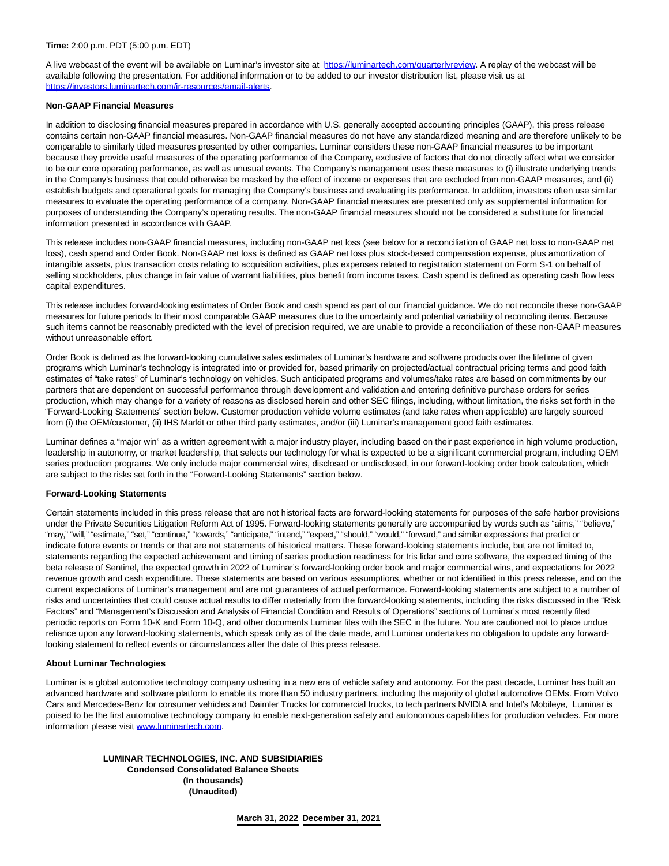A live webcast of the event will be available on Luminar's investor site at [https://luminartech.com/quarterlyreview.](https://cts.businesswire.com/ct/CT?id=smartlink&url=https%3A%2F%2Fluminartech.com%2Fquarterlyreview&esheet=52709566&newsitemid=20220505005764&lan=en-US&anchor=https%3A%2F%2Fluminartech.com%2Fquarterlyreview&index=2&md5=2e32760735c010582991ad6f59005504) A replay of the webcast will be available following the presentation. For additional information or to be added to our investor distribution list, please visit us at [https://investors.luminartech.com/ir-resources/email-alerts.](https://cts.businesswire.com/ct/CT?id=smartlink&url=https%3A%2F%2Finvestors.luminartech.com%2Fir-resources%2Femail-alerts&esheet=52709566&newsitemid=20220505005764&lan=en-US&anchor=https%3A%2F%2Finvestors.luminartech.com%2Fir-resources%2Femail-alerts&index=3&md5=ddcf55a6951653a27d0b153337ad6c92)

#### **Non-GAAP Financial Measures**

In addition to disclosing financial measures prepared in accordance with U.S. generally accepted accounting principles (GAAP), this press release contains certain non-GAAP financial measures. Non-GAAP financial measures do not have any standardized meaning and are therefore unlikely to be comparable to similarly titled measures presented by other companies. Luminar considers these non-GAAP financial measures to be important because they provide useful measures of the operating performance of the Company, exclusive of factors that do not directly affect what we consider to be our core operating performance, as well as unusual events. The Company's management uses these measures to (i) illustrate underlying trends in the Company's business that could otherwise be masked by the effect of income or expenses that are excluded from non-GAAP measures, and (ii) establish budgets and operational goals for managing the Company's business and evaluating its performance. In addition, investors often use similar measures to evaluate the operating performance of a company. Non-GAAP financial measures are presented only as supplemental information for purposes of understanding the Company's operating results. The non-GAAP financial measures should not be considered a substitute for financial information presented in accordance with GAAP.

This release includes non-GAAP financial measures, including non-GAAP net loss (see below for a reconciliation of GAAP net loss to non-GAAP net loss), cash spend and Order Book. Non-GAAP net loss is defined as GAAP net loss plus stock-based compensation expense, plus amortization of intangible assets, plus transaction costs relating to acquisition activities, plus expenses related to registration statement on Form S-1 on behalf of selling stockholders, plus change in fair value of warrant liabilities, plus benefit from income taxes. Cash spend is defined as operating cash flow less capital expenditures.

This release includes forward-looking estimates of Order Book and cash spend as part of our financial guidance. We do not reconcile these non-GAAP measures for future periods to their most comparable GAAP measures due to the uncertainty and potential variability of reconciling items. Because such items cannot be reasonably predicted with the level of precision required, we are unable to provide a reconciliation of these non-GAAP measures without unreasonable effort.

Order Book is defined as the forward-looking cumulative sales estimates of Luminar's hardware and software products over the lifetime of given programs which Luminar's technology is integrated into or provided for, based primarily on projected/actual contractual pricing terms and good faith estimates of "take rates" of Luminar's technology on vehicles. Such anticipated programs and volumes/take rates are based on commitments by our partners that are dependent on successful performance through development and validation and entering definitive purchase orders for series production, which may change for a variety of reasons as disclosed herein and other SEC filings, including, without limitation, the risks set forth in the "Forward-Looking Statements" section below. Customer production vehicle volume estimates (and take rates when applicable) are largely sourced from (i) the OEM/customer, (ii) IHS Markit or other third party estimates, and/or (iii) Luminar's management good faith estimates.

Luminar defines a "major win" as a written agreement with a major industry player, including based on their past experience in high volume production, leadership in autonomy, or market leadership, that selects our technology for what is expected to be a significant commercial program, including OEM series production programs. We only include major commercial wins, disclosed or undisclosed, in our forward-looking order book calculation, which are subject to the risks set forth in the "Forward-Looking Statements" section below.

#### **Forward-Looking Statements**

Certain statements included in this press release that are not historical facts are forward-looking statements for purposes of the safe harbor provisions under the Private Securities Litigation Reform Act of 1995. Forward-looking statements generally are accompanied by words such as "aims," "believe," "may," "will," "estimate," "set," "continue," "towards," "anticipate," "intend," "expect," "should," "would," "forward," and similar expressions that predict or indicate future events or trends or that are not statements of historical matters. These forward-looking statements include, but are not limited to, statements regarding the expected achievement and timing of series production readiness for Iris lidar and core software, the expected timing of the beta release of Sentinel, the expected growth in 2022 of Luminar's forward-looking order book and major commercial wins, and expectations for 2022 revenue growth and cash expenditure. These statements are based on various assumptions, whether or not identified in this press release, and on the current expectations of Luminar's management and are not guarantees of actual performance. Forward-looking statements are subject to a number of risks and uncertainties that could cause actual results to differ materially from the forward-looking statements, including the risks discussed in the "Risk Factors" and "Management's Discussion and Analysis of Financial Condition and Results of Operations" sections of Luminar's most recently filed periodic reports on Form 10-K and Form 10-Q, and other documents Luminar files with the SEC in the future. You are cautioned not to place undue reliance upon any forward-looking statements, which speak only as of the date made, and Luminar undertakes no obligation to update any forwardlooking statement to reflect events or circumstances after the date of this press release.

#### **About Luminar Technologies**

Luminar is a global automotive technology company ushering in a new era of vehicle safety and autonomy. For the past decade, Luminar has built an advanced hardware and software platform to enable its more than 50 industry partners, including the majority of global automotive OEMs. From Volvo Cars and Mercedes-Benz for consumer vehicles and Daimler Trucks for commercial trucks, to tech partners NVIDIA and Intel's Mobileye, Luminar is poised to be the first automotive technology company to enable next-generation safety and autonomous capabilities for production vehicles. For more information please visit [www.luminartech.com.](https://cts.businesswire.com/ct/CT?id=smartlink&url=http%3A%2F%2Fwww.luminartech.com&esheet=52709566&newsitemid=20220505005764&lan=en-US&anchor=www.luminartech.com&index=4&md5=a44facd52e3c0a8869ae6e0ce2e43ff2)

> **LUMINAR TECHNOLOGIES, INC. AND SUBSIDIARIES Condensed Consolidated Balance Sheets (In thousands) (Unaudited)**

> > **March 31, 2022 December 31, 2021**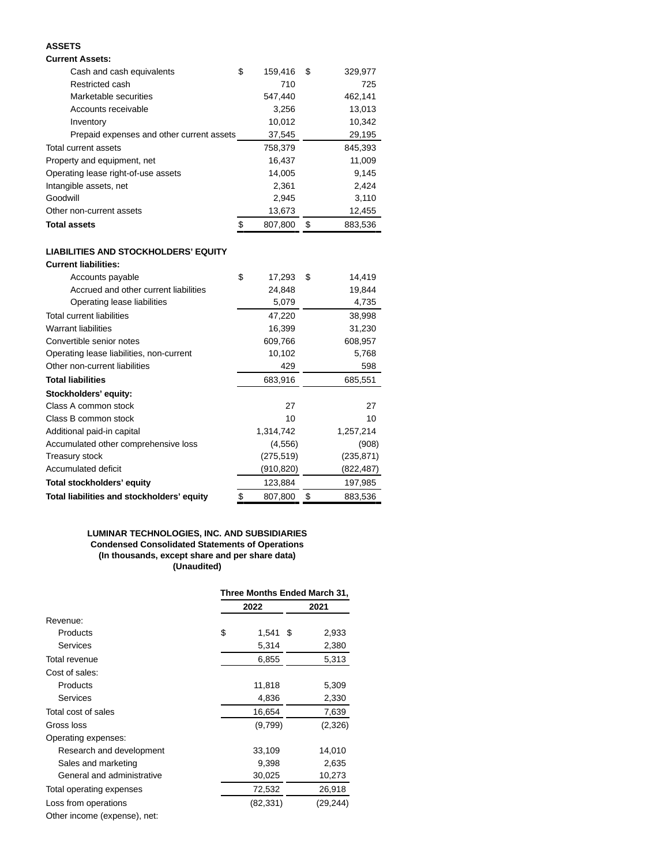# **ASSETS**

# **Current Assets:**

| Cash and cash equivalents                 | \$<br>159,416 | \$<br>329,977 |
|-------------------------------------------|---------------|---------------|
| Restricted cash                           | 710           | 725           |
| Marketable securities                     | 547,440       | 462,141       |
| Accounts receivable                       | 3,256         | 13,013        |
| Inventory                                 | 10,012        | 10,342        |
| Prepaid expenses and other current assets | 37,545        | 29,195        |
| Total current assets                      | 758,379       | 845.393       |
| Property and equipment, net               | 16,437        | 11,009        |
| Operating lease right-of-use assets       | 14,005        | 9,145         |
| Intangible assets, net                    | 2,361         | 2,424         |
| Goodwill                                  | 2,945         | 3,110         |
| Other non-current assets                  | 13,673        | 12,455        |
| <b>Total assets</b>                       | \$<br>807,800 | \$<br>883,536 |

#### **LIABILITIES AND STOCKHOLDERS' EQUITY Current liabilities:**

| vun viit nuvinuvs.                         |               |               |
|--------------------------------------------|---------------|---------------|
| Accounts payable                           | \$<br>17,293  | \$<br>14,419  |
| Accrued and other current liabilities      | 24,848        | 19,844        |
| Operating lease liabilities                | 5,079         | 4,735         |
| <b>Total current liabilities</b>           | 47,220        | 38,998        |
| <b>Warrant liabilities</b>                 | 16,399        | 31,230        |
| Convertible senior notes                   | 609,766       | 608,957       |
| Operating lease liabilities, non-current   | 10,102        | 5,768         |
| Other non-current liabilities              | 429           | 598           |
| <b>Total liabilities</b>                   | 683,916       | 685,551       |
| Stockholders' equity:                      |               |               |
| Class A common stock                       | 27            | 27            |
| Class B common stock                       | 10            | 10            |
| Additional paid-in capital                 | 1,314,742     | 1,257,214     |
| Accumulated other comprehensive loss       | (4, 556)      | (908)         |
| Treasury stock                             | (275, 519)    | (235, 871)    |
| Accumulated deficit                        | (910, 820)    | (822,487)     |
| Total stockholders' equity                 | 123,884       | 197,985       |
| Total liabilities and stockholders' equity | \$<br>807,800 | \$<br>883,536 |

# **LUMINAR TECHNOLOGIES, INC. AND SUBSIDIARIES Condensed Consolidated Statements of Operations (In thousands, except share and per share data) (Unaudited)**

|                              | Three Months Ended March 31, |    |           |  |
|------------------------------|------------------------------|----|-----------|--|
|                              | 2022                         |    | 2021      |  |
| Revenue:                     |                              |    |           |  |
| Products                     | \$<br>1,541                  | \$ | 2,933     |  |
| <b>Services</b>              | 5,314                        |    | 2,380     |  |
| Total revenue                | 6,855                        |    | 5,313     |  |
| Cost of sales:               |                              |    |           |  |
| Products                     | 11,818                       |    | 5,309     |  |
| Services                     | 4,836                        |    | 2,330     |  |
| Total cost of sales          | 16,654                       |    | 7,639     |  |
| Gross loss                   | (9,799)                      |    | (2,326)   |  |
| Operating expenses:          |                              |    |           |  |
| Research and development     | 33,109                       |    | 14,010    |  |
| Sales and marketing          | 9,398                        |    | 2,635     |  |
| General and administrative   | 30,025                       |    | 10,273    |  |
| Total operating expenses     | 72,532                       |    | 26,918    |  |
| Loss from operations         | (82, 331)                    |    | (29, 244) |  |
| Other income (expense), net: |                              |    |           |  |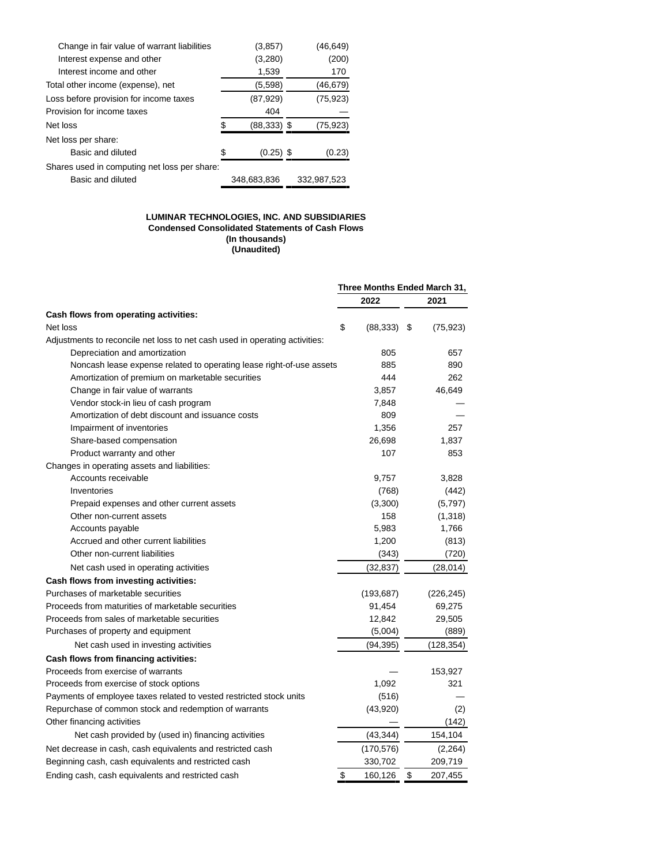| Change in fair value of warrant liabilities  | (3, 857)       | (46,649)    |
|----------------------------------------------|----------------|-------------|
| Interest expense and other                   | (3,280)        | (200)       |
| Interest income and other                    | 1,539          | 170         |
| Total other income (expense), net            | (5,598)        | (46, 679)   |
| Loss before provision for income taxes       | (87, 929)      | (75, 923)   |
| Provision for income taxes                   | 404            |             |
| Net loss                                     | $(88, 333)$ \$ | (75, 923)   |
| Net loss per share:                          |                |             |
| Basic and diluted                            | $(0.25)$ \$    | (0.23)      |
| Shares used in computing net loss per share: |                |             |
| Basic and diluted                            | 348.683.836    | 332.987.523 |

#### **LUMINAR TECHNOLOGIES, INC. AND SUBSIDIARIES Condensed Consolidated Statements of Cash Flows (In thousands) (Unaudited)**

|                                                                             | Three Months Ended March 31, |            |    |            |
|-----------------------------------------------------------------------------|------------------------------|------------|----|------------|
|                                                                             |                              | 2022       |    | 2021       |
| Cash flows from operating activities:                                       |                              |            |    |            |
| Net loss                                                                    | \$                           | (88, 333)  | \$ | (75,923)   |
| Adjustments to reconcile net loss to net cash used in operating activities: |                              |            |    |            |
| Depreciation and amortization                                               |                              | 805        |    | 657        |
| Noncash lease expense related to operating lease right-of-use assets        |                              | 885        |    | 890        |
| Amortization of premium on marketable securities                            |                              | 444        |    | 262        |
| Change in fair value of warrants                                            |                              | 3,857      |    | 46,649     |
| Vendor stock-in lieu of cash program                                        |                              | 7,848      |    |            |
| Amortization of debt discount and issuance costs                            |                              | 809        |    |            |
| Impairment of inventories                                                   |                              | 1,356      |    | 257        |
| Share-based compensation                                                    |                              | 26,698     |    | 1,837      |
| Product warranty and other                                                  |                              | 107        |    | 853        |
| Changes in operating assets and liabilities:                                |                              |            |    |            |
| Accounts receivable                                                         |                              | 9,757      |    | 3,828      |
| Inventories                                                                 |                              | (768)      |    | (442)      |
| Prepaid expenses and other current assets                                   |                              | (3,300)    |    | (5,797)    |
| Other non-current assets                                                    |                              | 158        |    | (1,318)    |
| Accounts payable                                                            |                              | 5,983      |    | 1,766      |
| Accrued and other current liabilities                                       |                              | 1,200      |    | (813)      |
| Other non-current liabilities                                               |                              | (343)      |    | (720)      |
| Net cash used in operating activities                                       |                              | (32, 837)  |    | (28, 014)  |
| Cash flows from investing activities:                                       |                              |            |    |            |
| Purchases of marketable securities                                          |                              | (193, 687) |    | (226, 245) |
| Proceeds from maturities of marketable securities                           |                              | 91,454     |    | 69,275     |
| Proceeds from sales of marketable securities                                |                              | 12,842     |    | 29,505     |
| Purchases of property and equipment                                         |                              | (5,004)    |    | (889)      |
| Net cash used in investing activities                                       |                              | (94, 395)  |    | (128, 354) |
| Cash flows from financing activities:                                       |                              |            |    |            |
| Proceeds from exercise of warrants                                          |                              |            |    | 153,927    |
| Proceeds from exercise of stock options                                     |                              | 1,092      |    | 321        |
| Payments of employee taxes related to vested restricted stock units         |                              | (516)      |    |            |
| Repurchase of common stock and redemption of warrants                       |                              | (43,920)   |    | (2)        |
| Other financing activities                                                  |                              |            |    | (142)      |
| Net cash provided by (used in) financing activities                         |                              | (43, 344)  |    | 154,104    |
| Net decrease in cash, cash equivalents and restricted cash                  |                              | (170, 576) |    | (2,264)    |
| Beginning cash, cash equivalents and restricted cash                        |                              | 330,702    |    | 209,719    |
| Ending cash, cash equivalents and restricted cash                           | \$                           | 160,126    | \$ | 207,455    |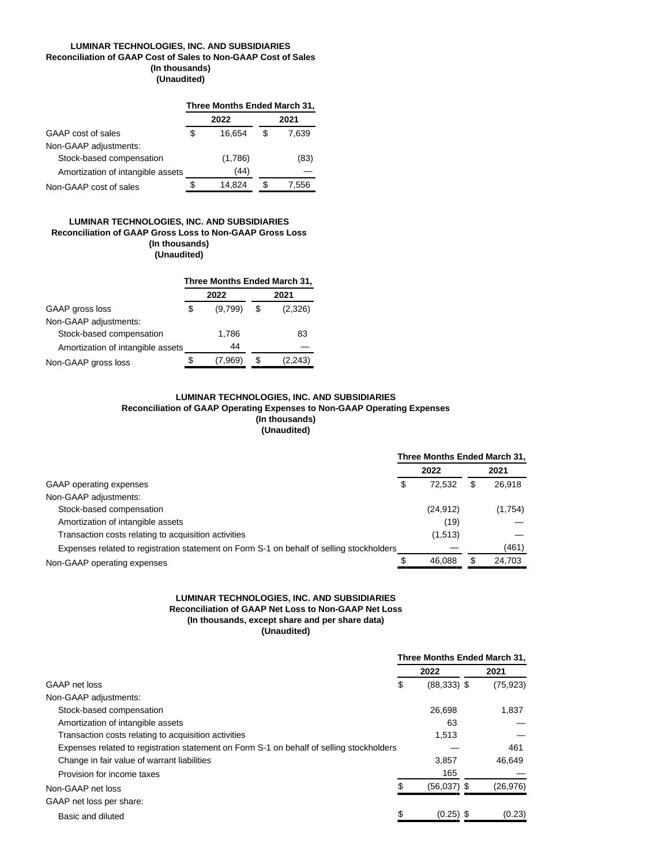## **LUMINAR TECHNOLOGIES, INC. AND SUBSIDIARIES Reconciliation of GAAP Cost of Sales to Non-GAAP Cost of Sales (In thousands) (Unaudited)**

|                                   | Three Months Ended March 31, |         |    |       |  |  |  |
|-----------------------------------|------------------------------|---------|----|-------|--|--|--|
|                                   |                              | 2022    |    | 2021  |  |  |  |
| GAAP cost of sales                | S                            | 16.654  | \$ | 7.639 |  |  |  |
| Non-GAAP adjustments:             |                              |         |    |       |  |  |  |
| Stock-based compensation          |                              | (1,786) |    | (83)  |  |  |  |
| Amortization of intangible assets |                              | (44)    |    |       |  |  |  |
| Non-GAAP cost of sales            |                              | 14.824  |    | 7,556 |  |  |  |

#### **LUMINAR TECHNOLOGIES, INC. AND SUBSIDIARIES Reconciliation of GAAP Gross Loss to Non-GAAP Gross Loss (In thousands) (Unaudited)**

|                                   | Three Months Ended March 31, |         |   |         |  |  |  |
|-----------------------------------|------------------------------|---------|---|---------|--|--|--|
|                                   |                              | 2022    |   | 2021    |  |  |  |
| GAAP gross loss                   | \$                           | (9,799) | S | (2,326) |  |  |  |
| Non-GAAP adjustments:             |                              |         |   |         |  |  |  |
| Stock-based compensation          |                              | 1,786   |   | 83      |  |  |  |
| Amortization of intangible assets |                              | 44      |   |         |  |  |  |
| Non-GAAP gross loss               |                              | (7.969) |   | (2.243) |  |  |  |

## **LUMINAR TECHNOLOGIES, INC. AND SUBSIDIARIES Reconciliation of GAAP Operating Expenses to Non-GAAP Operating Expenses (In thousands) (Unaudited)**

|                                                                                          | Three Months Ended March 31, |           |    |         |  |
|------------------------------------------------------------------------------------------|------------------------------|-----------|----|---------|--|
|                                                                                          |                              | 2022      |    | 2021    |  |
| GAAP operating expenses                                                                  | S                            | 72.532    | \$ | 26,918  |  |
| Non-GAAP adjustments:                                                                    |                              |           |    |         |  |
| Stock-based compensation                                                                 |                              | (24, 912) |    | (1,754) |  |
| Amortization of intangible assets                                                        |                              | (19)      |    |         |  |
| Transaction costs relating to acquisition activities                                     |                              | (1,513)   |    |         |  |
| Expenses related to registration statement on Form S-1 on behalf of selling stockholders |                              |           |    | (461)   |  |
| Non-GAAP operating expenses                                                              |                              | 46.088    | \$ | 24,703  |  |

## **LUMINAR TECHNOLOGIES, INC. AND SUBSIDIARIES Reconciliation of GAAP Net Loss to Non-GAAP Net Loss (In thousands, except share and per share data) (Unaudited)**

|                                                                                          |   | Three Months Ended March 31, |           |
|------------------------------------------------------------------------------------------|---|------------------------------|-----------|
|                                                                                          |   | 2022                         | 2021      |
| GAAP net loss                                                                            | S | $(88,333)$ \$                | (75, 923) |
| Non-GAAP adjustments:                                                                    |   |                              |           |
| Stock-based compensation                                                                 |   | 26.698                       | 1,837     |
| Amortization of intangible assets                                                        |   | 63                           |           |
| Transaction costs relating to acquisition activities                                     |   | 1,513                        |           |
| Expenses related to registration statement on Form S-1 on behalf of selling stockholders |   |                              | 461       |
| Change in fair value of warrant liabilities                                              |   | 3.857                        | 46,649    |
| Provision for income taxes                                                               |   | 165                          |           |
| Non-GAAP net loss                                                                        |   | (56,037) \$                  | (26,976)  |
| GAAP net loss per share:                                                                 |   |                              |           |
| Basic and diluted                                                                        |   | $(0.25)$ \$                  | (0.23)    |